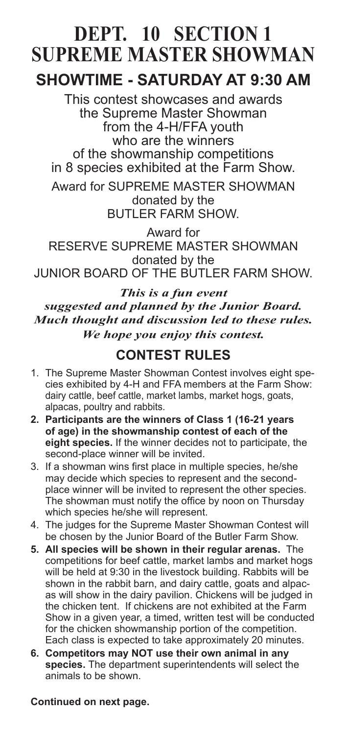# **DEPT. 10 SECTION 1 SUPREME MASTER SHOWMAN**

## **SHOWTIME - SATURDAY AT 9:30 AM**

This contest showcases and awards the Supreme Master Showman from the 4-H/FFA youth who are the winners of the showmanship competitions in 8 species exhibited at the Farm Show.

Award for SUPREME MASTER SHOWMAN donated by the BUTLER FARM SHOW.

Award for RESERVE SUPREME MASTER SHOWMAN donated by the JUNIOR BOARD OF THE BUTLER FARM SHOW.

*This is a fun event suggested and planned by the Junior Board. Much thought and discussion led to these rules. We hope you enjoy this contest.*

## **CONTEST RULES**

- 1. The Supreme Master Showman Contest involves eight species exhibited by 4-H and FFA members at the Farm Show: dairy cattle, beef cattle, market lambs, market hogs, goats, alpacas, poultry and rabbits.
- **2. Participants are the winners of Class 1 (16-21 years of age) in the showmanship contest of each of the eight species.** If the winner decides not to participate, the second-place winner will be invited.
- 3. If a showman wins first place in multiple species, he/she may decide which species to represent and the secondplace winner will be invited to represent the other species. The showman must notify the office by noon on Thursday which species he/she will represent.
- 4. The judges for the Supreme Master Showman Contest will be chosen by the Junior Board of the Butler Farm Show.
- **5. All species will be shown in their regular arenas.** The competitions for beef cattle, market lambs and market hogs will be held at 9:30 in the livestock building. Rabbits will be shown in the rabbit barn, and dairy cattle, goats and alpacas will show in the dairy pavilion. Chickens will be judged in the chicken tent. If chickens are not exhibited at the Farm Show in a given year, a timed, written test will be conducted for the chicken showmanship portion of the competition. Each class is expected to take approximately 20 minutes.
- **6. Competitors may NOT use their own animal in any species.** The department superintendents will select the animals to be shown.

#### **Continued on next page.**